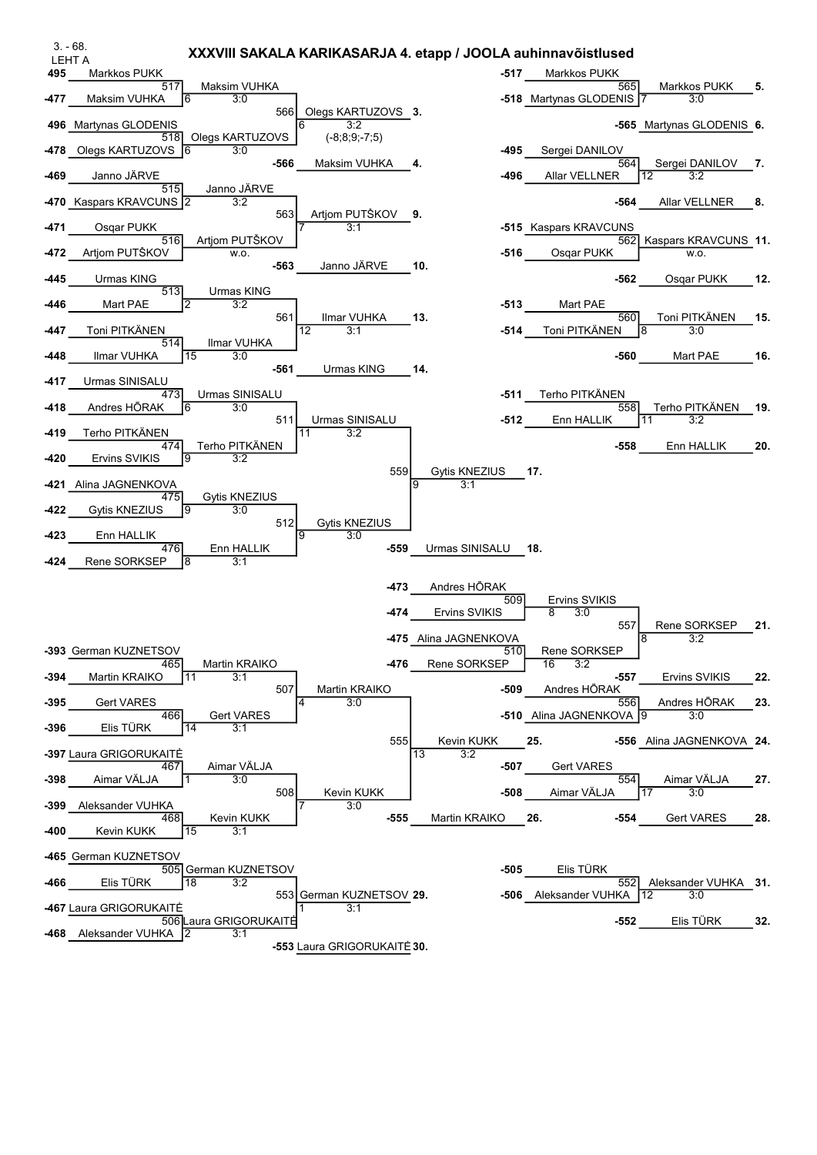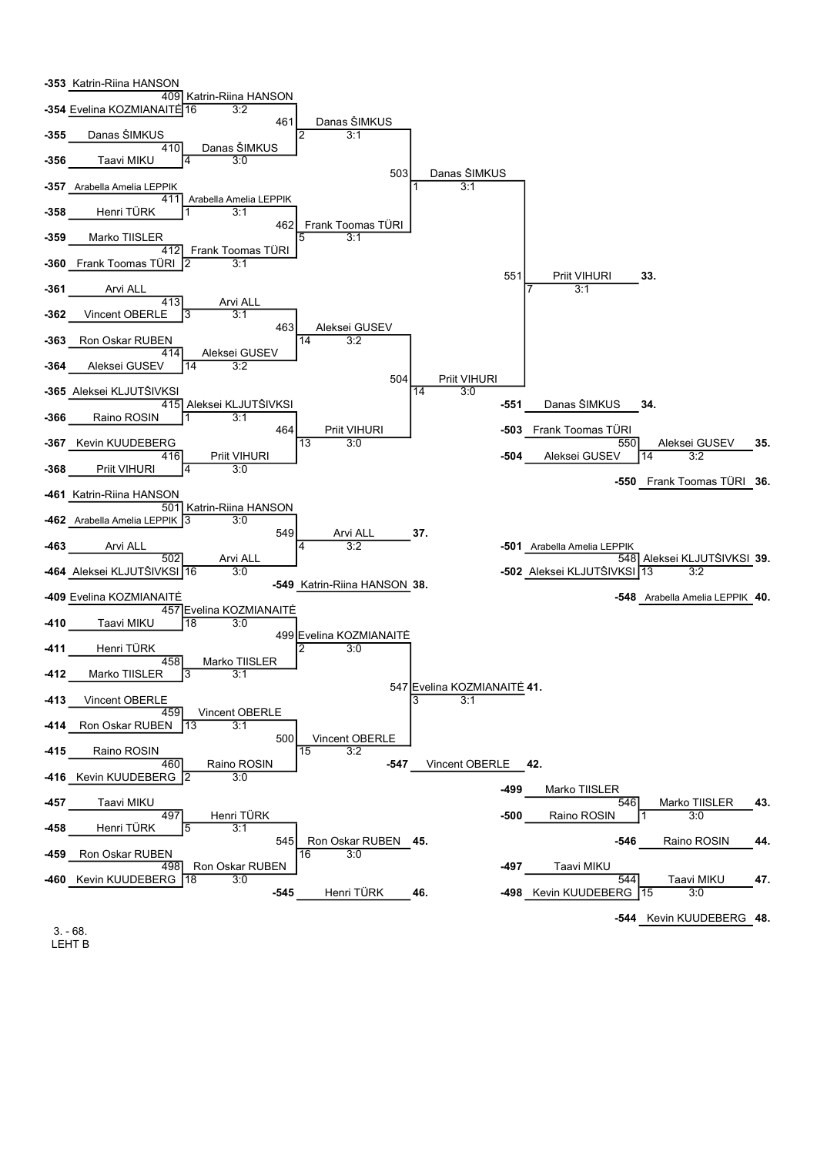

3. - 68. LEHT B -544 Kevin KUUDEBERG 48.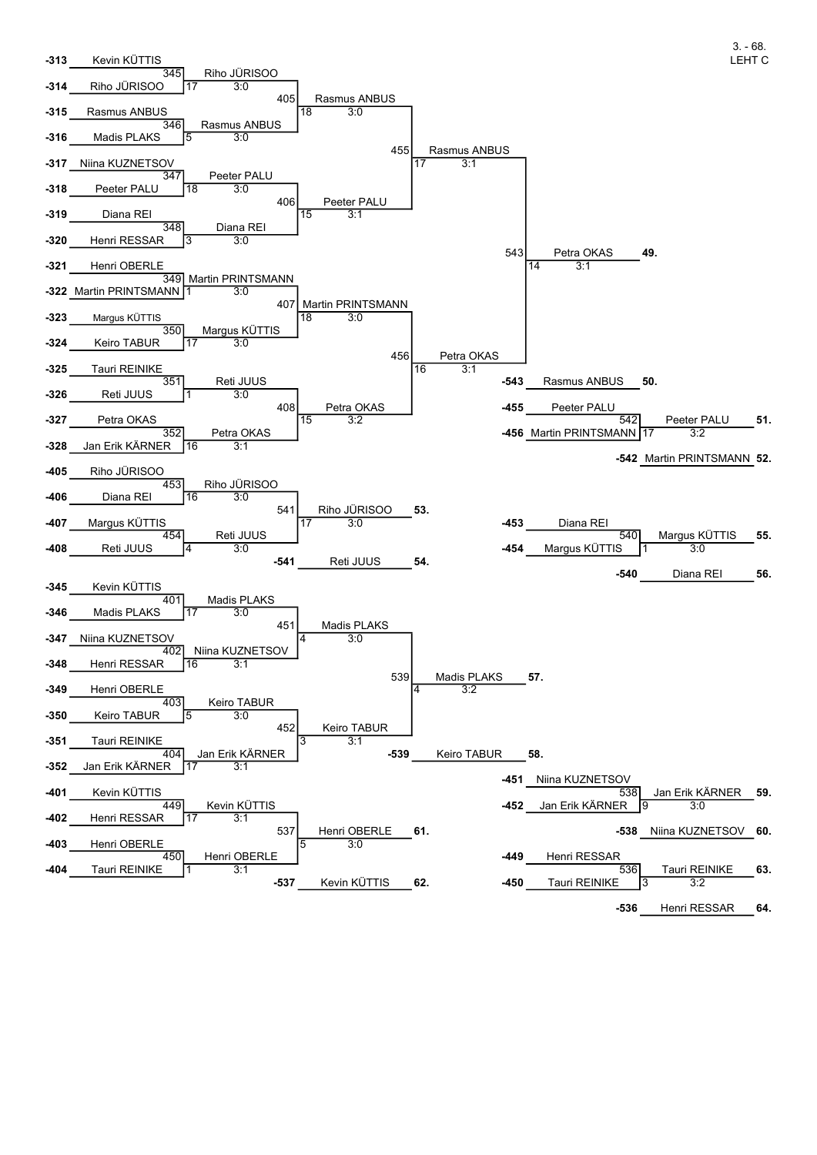